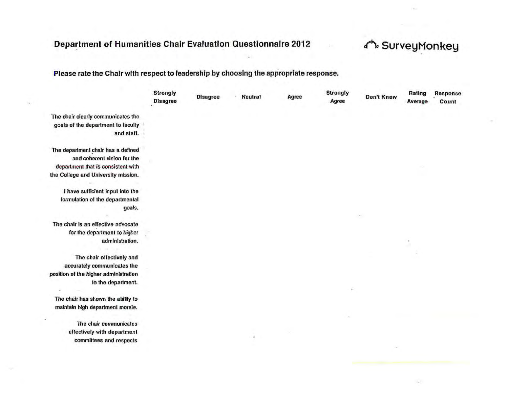# Department of Humanities Chair Evaluation Questionnaire 2012

# √ SurveyMonkey

### Please rate the Chair with respect to leadership by choosing the appropriate response.

|                                                                          | Strongly<br><b>Disagree</b> | <b>Disagree</b> | <b>Neutral</b> | Agree | Strongly<br>Agree | Don't Know | Rating<br>Average | Response<br>Count |
|--------------------------------------------------------------------------|-----------------------------|-----------------|----------------|-------|-------------------|------------|-------------------|-------------------|
| The chair clearly communicates the<br>goals of the department to faculty |                             |                 |                |       |                   |            |                   |                   |
| and staff.                                                               |                             |                 |                |       |                   |            |                   |                   |
| The department chair has a defined                                       |                             |                 |                |       |                   |            |                   |                   |
| and coherent vision for the                                              |                             |                 |                |       |                   |            |                   |                   |
| department that is consistent with                                       |                             |                 |                |       |                   |            |                   |                   |
| the College and University mission.                                      |                             |                 |                |       |                   |            |                   |                   |
| I have sufficient input into the                                         |                             |                 |                |       |                   |            |                   |                   |
| formulation of the departmental                                          |                             |                 |                |       |                   |            |                   |                   |
| goals.                                                                   |                             |                 |                |       |                   |            |                   |                   |
| The chair is an effective advocate                                       |                             |                 |                |       |                   |            |                   |                   |
| for the department to higher                                             |                             |                 |                |       |                   |            |                   |                   |
| administration.                                                          |                             |                 |                |       |                   |            |                   |                   |
| The chair effectively and                                                |                             |                 |                |       |                   |            |                   |                   |
| accurately communicates the                                              |                             |                 |                |       |                   |            |                   |                   |
| position of the higher administration                                    |                             |                 |                |       |                   |            |                   |                   |
| to the department.                                                       |                             |                 |                |       |                   |            |                   |                   |
| The chair has shown the ability to                                       |                             |                 |                |       |                   |            |                   |                   |
| maintain high department morale.                                         |                             |                 |                |       |                   |            |                   |                   |
| The chair communicates                                                   |                             |                 |                |       |                   |            |                   |                   |
| effectively with department                                              |                             |                 |                |       |                   |            |                   |                   |
| committees and respects                                                  |                             |                 |                |       |                   |            |                   |                   |
|                                                                          |                             |                 |                |       |                   |            |                   |                   |
|                                                                          |                             |                 |                |       |                   |            |                   |                   |
|                                                                          |                             |                 |                |       |                   |            |                   |                   |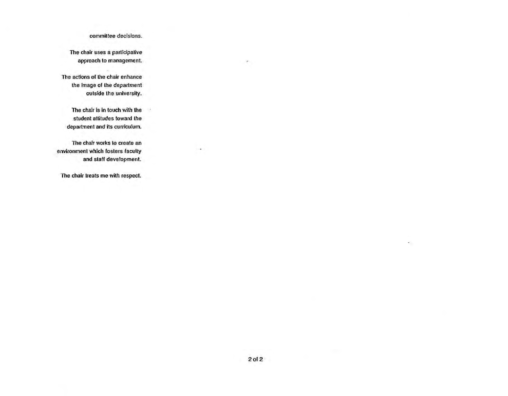#### committee decisions.

The chair uses a participative approach to management.

The actions of the chair enhance the image of the department outside the university.

The chair is in touch with the student attitudes toward the department and its curriculum. - 2

×.

The chair works to create an environment which fosters faculty and staff development.

The chair treats me with respect.

٠

 $\left\langle \Psi\right\rangle$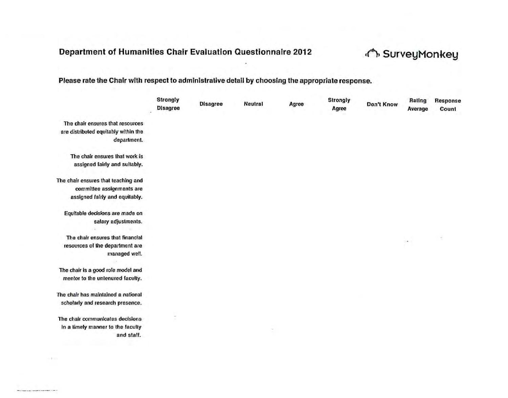# Department of Humanities Chair Evaluation Questionnaire 2012 (A) SurveyMonkey

#### Please rate the Chair with respect to administrative detail by choosing the appropriate response.

|                                                     | Strongly<br><b>Disagree</b> | <b>Disagree</b> | Neutral | Agree | <b>Strongly</b><br>Agree | Don't Know | Rating<br>Average | Response<br>Count |
|-----------------------------------------------------|-----------------------------|-----------------|---------|-------|--------------------------|------------|-------------------|-------------------|
| The chair ensures that resources                    |                             |                 |         |       |                          |            |                   |                   |
| are distributed equitably within the<br>department. |                             |                 |         |       |                          |            |                   |                   |
| The chair ensures that work is                      |                             |                 |         |       |                          |            |                   |                   |
| assigned fairly and suitably.                       |                             |                 |         |       |                          |            |                   |                   |
| The chair ensures that teaching and                 |                             |                 |         |       |                          |            |                   |                   |
| committee assignments are                           |                             |                 |         |       |                          |            |                   |                   |
| assigned fairly and equitably.                      |                             |                 |         |       |                          |            |                   |                   |
| Equitable decisions are made on                     |                             |                 |         |       |                          |            |                   |                   |
| salary adjustments.                                 |                             |                 |         |       |                          |            |                   |                   |
| The chair ensures that financial                    |                             |                 |         |       |                          |            | ٠                 | ÷                 |
| resources of the department are                     |                             |                 |         |       |                          |            |                   |                   |
| managed well.                                       |                             |                 |         |       |                          |            |                   |                   |
| The chair is a good role model and                  |                             |                 |         |       |                          |            |                   |                   |
| mentor to the unlenured faculty.                    |                             |                 |         |       |                          |            |                   |                   |
| The chair has maintained a national                 |                             |                 |         |       |                          |            |                   |                   |
| scholarly and research presence.                    |                             |                 |         |       |                          |            |                   |                   |
| The chair communicates decisions                    |                             |                 |         |       |                          |            |                   |                   |
| in a timely manner to the faculty                   |                             |                 |         |       |                          |            |                   |                   |
| and staff.                                          |                             |                 |         |       |                          |            |                   |                   |
|                                                     |                             |                 |         |       |                          |            |                   |                   |